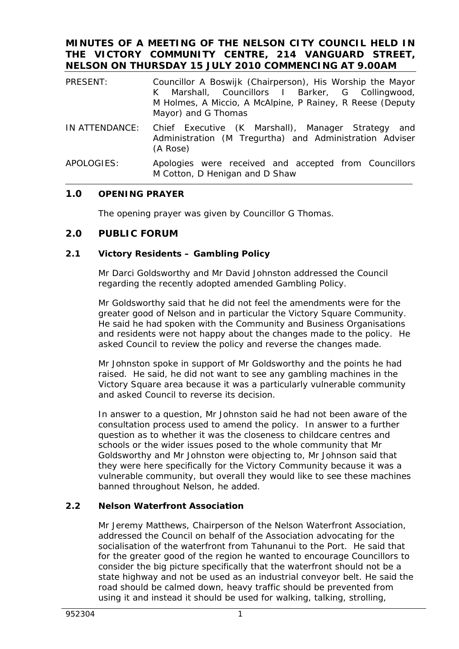## **MINUTES OF A MEETING OF THE NELSON CITY COUNCIL HELD IN THE VICTORY COMMUNITY CENTRE, 214 VANGUARD STREET, NELSON ON THURSDAY 15 JULY 2010 COMMENCING AT 9.00AM**

| PRESENT:       | Councillor A Boswijk (Chairperson), His Worship the Mayor<br>K Marshall, Councillors I Barker, G Collingwood,<br>M Holmes, A Miccio, A McAlpine, P Rainey, R Reese (Deputy<br>Mayor) and G Thomas |
|----------------|---------------------------------------------------------------------------------------------------------------------------------------------------------------------------------------------------|
| IN ATTENDANCE: | Chief Executive (K Marshall), Manager Strategy and<br>Administration (M Tregurtha) and Administration Adviser<br>(A Rose)                                                                         |
| ADOLOCHC       | ومعالمه والمستحص ومحموما والمستحدث والمستحدث ومحتب ومتحامين والمصالح                                                                                                                              |

APOLOGIES: Apologies were received and accepted from Councillors M Cotton, D Henigan and D Shaw

# **1.0 OPENING PRAYER**

The opening prayer was given by Councillor G Thomas.

# **2.0 PUBLIC FORUM**

### **2.1 Victory Residents – Gambling Policy**

Mr Darci Goldsworthy and Mr David Johnston addressed the Council regarding the recently adopted amended Gambling Policy.

Mr Goldsworthy said that he did not feel the amendments were for the greater good of Nelson and in particular the Victory Square Community. He said he had spoken with the Community and Business Organisations and residents were not happy about the changes made to the policy. He asked Council to review the policy and reverse the changes made.

Mr Johnston spoke in support of Mr Goldsworthy and the points he had raised. He said, he did not want to see any gambling machines in the Victory Square area because it was a particularly vulnerable community and asked Council to reverse its decision.

In answer to a question, Mr Johnston said he had not been aware of the consultation process used to amend the policy. In answer to a further question as to whether it was the closeness to childcare centres and schools or the wider issues posed to the whole community that Mr Goldsworthy and Mr Johnston were objecting to, Mr Johnson said that they were here specifically for the Victory Community because it was a vulnerable community, but overall they would like to see these machines banned throughout Nelson, he added.

# **2.2 Nelson Waterfront Association**

Mr Jeremy Matthews, Chairperson of the Nelson Waterfront Association, addressed the Council on behalf of the Association advocating for the socialisation of the waterfront from Tahunanui to the Port. He said that for the greater good of the region he wanted to encourage Councillors to consider the big picture specifically that the waterfront should not be a state highway and not be used as an industrial conveyor belt. He said the road should be calmed down, heavy traffic should be prevented from using it and instead it should be used for walking, talking, strolling,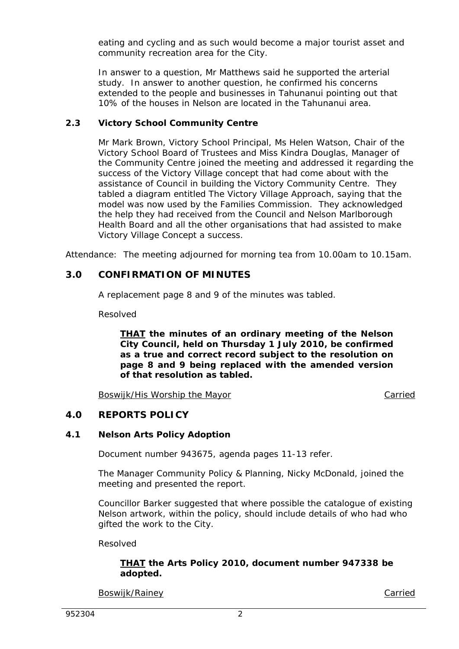eating and cycling and as such would become a major tourist asset and community recreation area for the City.

In answer to a question, Mr Matthews said he supported the arterial study. In answer to another question, he confirmed his concerns extended to the people and businesses in Tahunanui pointing out that 10% of the houses in Nelson are located in the Tahunanui area.

# **2.3 Victory School Community Centre**

Mr Mark Brown, Victory School Principal, Ms Helen Watson, Chair of the Victory School Board of Trustees and Miss Kindra Douglas, Manager of the Community Centre joined the meeting and addressed it regarding the success of the Victory Village concept that had come about with the assistance of Council in building the Victory Community Centre. They tabled a diagram entitled The Victory Village Approach, saying that the model was now used by the Families Commission. They acknowledged the help they had received from the Council and Nelson Marlborough Health Board and all the other organisations that had assisted to make Victory Village Concept a success.

Attendance: The meeting adjourned for morning tea from 10.00am to 10.15am.

# **3.0 CONFIRMATION OF MINUTES**

A replacement page 8 and 9 of the minutes was tabled.

Resolved

*THAT the minutes of an ordinary meeting of the Nelson City Council, held on Thursday 1 July 2010, be confirmed as a true and correct record subject to the resolution on page 8 and 9 being replaced with the amended version of that resolution as tabled.* 

Boswijk/His Worship the Mayor Carried Carried

# **4.0 REPORTS POLICY**

# **4.1 Nelson Arts Policy Adoption**

Document number 943675, agenda pages 11-13 refer.

The Manager Community Policy & Planning, Nicky McDonald, joined the meeting and presented the report.

Councillor Barker suggested that where possible the catalogue of existing Nelson artwork, within the policy, should include details of who had who gifted the work to the City.

Resolved

### *THAT the Arts Policy 2010, document number 947338 be adopted.*

Boswijk/Rainey **Carried**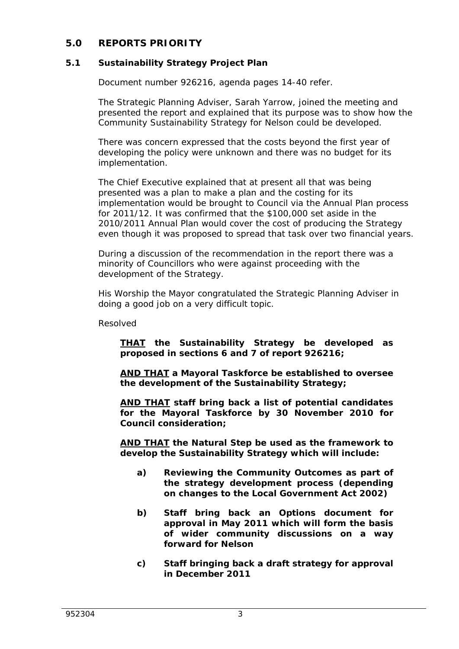# **5.0 REPORTS PRIORITY**

# **5.1 Sustainability Strategy Project Plan**

Document number 926216, agenda pages 14-40 refer.

The Strategic Planning Adviser, Sarah Yarrow, joined the meeting and presented the report and explained that its purpose was to show how the Community Sustainability Strategy for Nelson could be developed.

There was concern expressed that the costs beyond the first year of developing the policy were unknown and there was no budget for its implementation.

The Chief Executive explained that at present all that was being presented was a plan to make a plan and the costing for its implementation would be brought to Council via the Annual Plan process for 2011/12. It was confirmed that the \$100,000 set aside in the 2010/2011 Annual Plan would cover the cost of producing the Strategy even though it was proposed to spread that task over two financial years.

During a discussion of the recommendation in the report there was a minority of Councillors who were against proceeding with the development of the Strategy.

His Worship the Mayor congratulated the Strategic Planning Adviser in doing a good job on a very difficult topic.

Resolved

*THAT the Sustainability Strategy be developed as proposed in sections 6 and 7 of report 926216;* 

*AND THAT a Mayoral Taskforce be established to oversee the development of the Sustainability Strategy;* 

*AND THAT staff bring back a list of potential candidates for the Mayoral Taskforce by 30 November 2010 for Council consideration;* 

*AND THAT the Natural Step be used as the framework to develop the Sustainability Strategy which will include:* 

- *a) Reviewing the Community Outcomes as part of the strategy development process (depending on changes to the Local Government Act 2002)*
- *b) Staff bring back an Options document for approval in May 2011 which will form the basis of wider community discussions on a way forward for Nelson*
- *c) Staff bringing back a draft strategy for approval in December 2011*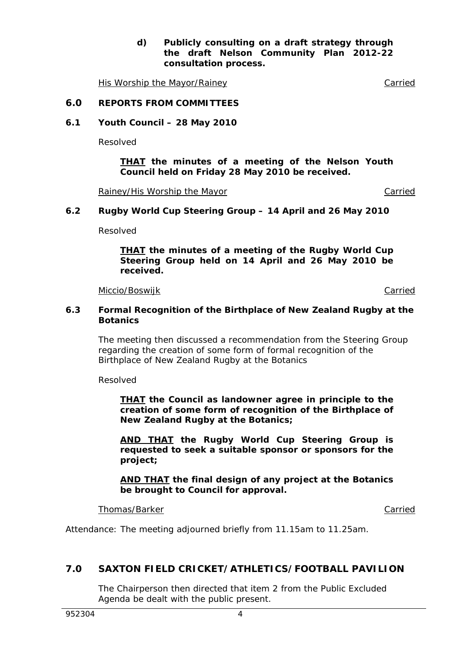*d) Publicly consulting on a draft strategy through the draft Nelson Community Plan 2012-22 consultation process.* 

His Worship the Mayor/Rainey Carried

#### **6.0 REPORTS FROM COMMITTEES**

**6.1 Youth Council – 28 May 2010** 

Resolved

*THAT the minutes of a meeting of the Nelson Youth Council held on Friday 28 May 2010 be received.* 

Rainey/His Worship the Mayor Carried Carried

#### **6.2 Rugby World Cup Steering Group – 14 April and 26 May 2010**

Resolved

*THAT the minutes of a meeting of the Rugby World Cup Steering Group held on 14 April and 26 May 2010 be received.* 

Miccio/Boswijk **Carried** 

#### **6.3 Formal Recognition of the Birthplace of New Zealand Rugby at the Botanics**

The meeting then discussed a recommendation from the Steering Group regarding the creation of some form of formal recognition of the Birthplace of New Zealand Rugby at the Botanics

Resolved

*THAT the Council as landowner agree in principle to the creation of some form of recognition of the Birthplace of New Zealand Rugby at the Botanics;* 

*AND THAT the Rugby World Cup Steering Group is requested to seek a suitable sponsor or sponsors for the project;* 

*AND THAT the final design of any project at the Botanics be brought to Council for approval.* 

#### Thomas/Barker Carried Carried Carried Carried Carried Carried Carried Carried Carried Carried Carried Carried Carried Carried Carried Carried Carried Carried Carried Carried Carried Carried Carried Carried Carried Carried

Attendance: The meeting adjourned briefly from 11.15am to 11.25am.

### **7.0 SAXTON FIELD CRICKET/ATHLETICS/FOOTBALL PAVILION**

The Chairperson then directed that item 2 from the Public Excluded Agenda be dealt with the public present.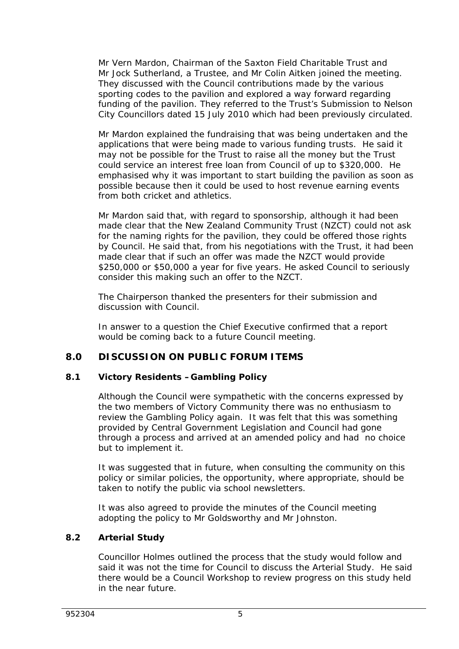Mr Vern Mardon, Chairman of the Saxton Field Charitable Trust and Mr Jock Sutherland, a Trustee, and Mr Colin Aitken joined the meeting. They discussed with the Council contributions made by the various sporting codes to the pavilion and explored a way forward regarding funding of the pavilion. They referred to the Trust's Submission to Nelson City Councillors dated 15 July 2010 which had been previously circulated.

Mr Mardon explained the fundraising that was being undertaken and the applications that were being made to various funding trusts. He said it may not be possible for the Trust to raise all the money but the Trust could service an interest free loan from Council of up to \$320,000. He emphasised why it was important to start building the pavilion as soon as possible because then it could be used to host revenue earning events from both cricket and athletics.

Mr Mardon said that, with regard to sponsorship, although it had been made clear that the New Zealand Community Trust (NZCT) could not ask for the naming rights for the pavilion, they could be offered those rights by Council. He said that, from his negotiations with the Trust, it had been made clear that if such an offer was made the NZCT would provide \$250,000 or \$50,000 a year for five years. He asked Council to seriously consider this making such an offer to the NZCT.

The Chairperson thanked the presenters for their submission and discussion with Council.

In answer to a question the Chief Executive confirmed that a report would be coming back to a future Council meeting.

# **8.0 DISCUSSION ON PUBLIC FORUM ITEMS**

## **8.1 Victory Residents –Gambling Policy**

Although the Council were sympathetic with the concerns expressed by the two members of Victory Community there was no enthusiasm to review the Gambling Policy again. It was felt that this was something provided by Central Government Legislation and Council had gone through a process and arrived at an amended policy and had no choice but to implement it.

It was suggested that in future, when consulting the community on this policy or similar policies, the opportunity, where appropriate, should be taken to notify the public via school newsletters.

It was also agreed to provide the minutes of the Council meeting adopting the policy to Mr Goldsworthy and Mr Johnston.

### **8.2 Arterial Study**

Councillor Holmes outlined the process that the study would follow and said it was not the time for Council to discuss the Arterial Study. He said there would be a Council Workshop to review progress on this study held in the near future.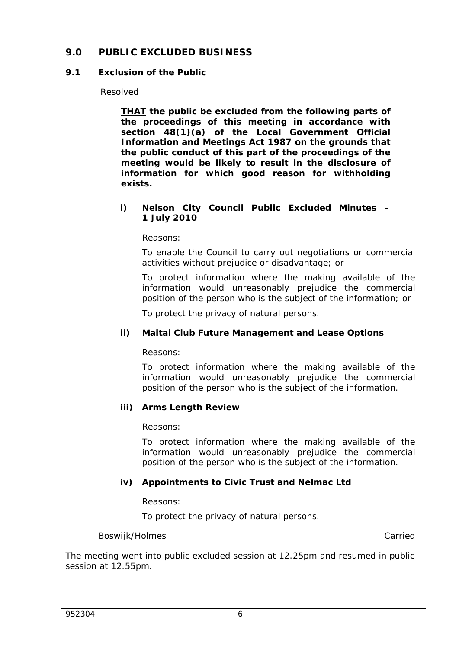# **9.0 PUBLIC EXCLUDED BUSINESS**

### **9.1 Exclusion of the Public**

#### Resolved

*THAT the public be excluded from the following parts of the proceedings of this meeting in accordance with section 48(1)(a) of the Local Government Official Information and Meetings Act 1987 on the grounds that the public conduct of this part of the proceedings of the meeting would be likely to result in the disclosure of information for which good reason for withholding exists.* 

#### *i) Nelson City Council Public Excluded Minutes – 1 July 2010*

*Reasons:* 

*To enable the Council to carry out negotiations or commercial activities without prejudice or disadvantage; or* 

*To protect information where the making available of the information would unreasonably prejudice the commercial position of the person who is the subject of the information; or* 

*To protect the privacy of natural persons.* 

### *ii) Maitai Club Future Management and Lease Options*

*Reasons:* 

*To protect information where the making available of the information would unreasonably prejudice the commercial position of the person who is the subject of the information.* 

### *iii) Arms Length Review*

*Reasons:* 

*To protect information where the making available of the information would unreasonably prejudice the commercial position of the person who is the subject of the information.* 

### *iv) Appointments to Civic Trust and Nelmac Ltd*

*Reasons:* 

*To protect the privacy of natural persons.* 

#### Boswijk/Holmes **Carried Carried Carried Carried Carried Carried Carried Carried**

The meeting went into public excluded session at 12.25pm and resumed in public session at 12.55pm.